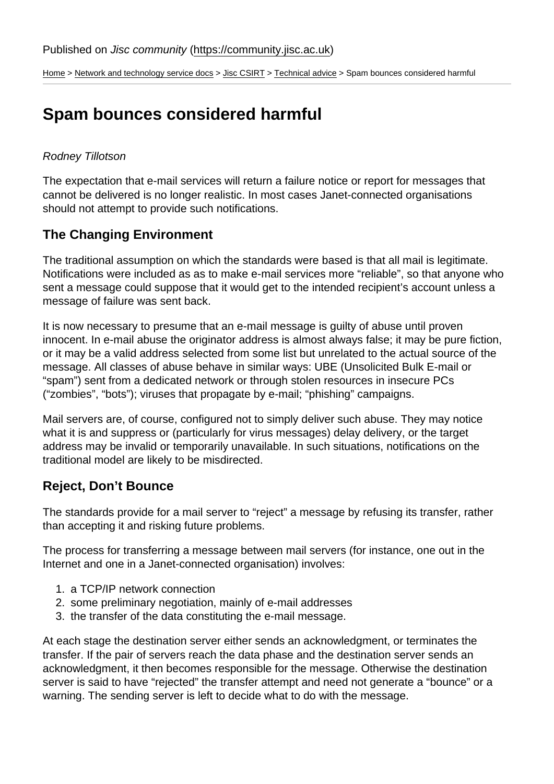[Home](https://community.jisc.ac.uk/) > [Network and technology service docs](https://community.jisc.ac.uk/library/janet-services-documentation) > [Jisc CSIRT](https://community.jisc.ac.uk/library/janet-services-documentation/janet-csirt) > [Technical advice](https://community.jisc.ac.uk/library/janet-services-documentation/technical-advice) > Spam bounces considered harmful

# Spam bounces considered harmful

#### Rodney Tillotson

The expectation that e-mail services will return a failure notice or report for messages that cannot be delivered is no longer realistic. In most cases Janet-connected organisations should not attempt to provide such notifications.

### The Changing Environment

The traditional assumption on which the standards were based is that all mail is legitimate. Notifications were included as as to make e-mail services more "reliable", so that anyone who sent a message could suppose that it would get to the intended recipient's account unless a message of failure was sent back.

It is now necessary to presume that an e-mail message is guilty of abuse until proven innocent. In e-mail abuse the originator address is almost always false; it may be pure fiction, or it may be a valid address selected from some list but unrelated to the actual source of the message. All classes of abuse behave in similar ways: UBE (Unsolicited Bulk E-mail or "spam") sent from a dedicated network or through stolen resources in insecure PCs ("zombies", "bots"); viruses that propagate by e-mail; "phishing" campaigns.

Mail servers are, of course, configured not to simply deliver such abuse. They may notice what it is and suppress or (particularly for virus messages) delay delivery, or the target address may be invalid or temporarily unavailable. In such situations, notifications on the traditional model are likely to be misdirected.

#### Reject, Don't Bounce

The standards provide for a mail server to "reject" a message by refusing its transfer, rather than accepting it and risking future problems.

The process for transferring a message between mail servers (for instance, one out in the Internet and one in a Janet-connected organisation) involves:

- 1. a TCP/IP network connection
- 2. some preliminary negotiation, mainly of e-mail addresses
- 3. the transfer of the data constituting the e-mail message.

At each stage the destination server either sends an acknowledgment, or terminates the transfer. If the pair of servers reach the data phase and the destination server sends an acknowledgment, it then becomes responsible for the message. Otherwise the destination server is said to have "rejected" the transfer attempt and need not generate a "bounce" or a warning. The sending server is left to decide what to do with the message.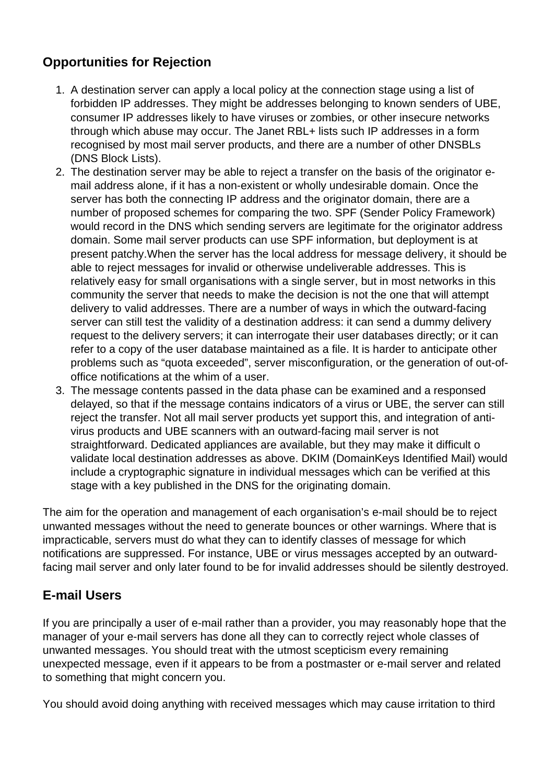## **Opportunities for Rejection**

- 1. A destination server can apply a local policy at the connection stage using a list of forbidden IP addresses. They might be addresses belonging to known senders of UBE, consumer IP addresses likely to have viruses or zombies, or other insecure networks through which abuse may occur. The Janet RBL+ lists such IP addresses in a form recognised by most mail server products, and there are a number of other DNSBLs (DNS Block Lists).
- 2. The destination server may be able to reject a transfer on the basis of the originator email address alone, if it has a non-existent or wholly undesirable domain. Once the server has both the connecting IP address and the originator domain, there are a number of proposed schemes for comparing the two. SPF (Sender Policy Framework) would record in the DNS which sending servers are legitimate for the originator address domain. Some mail server products can use SPF information, but deployment is at present patchy.When the server has the local address for message delivery, it should be able to reject messages for invalid or otherwise undeliverable addresses. This is relatively easy for small organisations with a single server, but in most networks in this community the server that needs to make the decision is not the one that will attempt delivery to valid addresses. There are a number of ways in which the outward-facing server can still test the validity of a destination address: it can send a dummy delivery request to the delivery servers; it can interrogate their user databases directly; or it can refer to a copy of the user database maintained as a file. It is harder to anticipate other problems such as "quota exceeded", server misconfiguration, or the generation of out-ofoffice notifications at the whim of a user.
- 3. The message contents passed in the data phase can be examined and a responsed delayed, so that if the message contains indicators of a virus or UBE, the server can still reject the transfer. Not all mail server products yet support this, and integration of antivirus products and UBE scanners with an outward-facing mail server is not straightforward. Dedicated appliances are available, but they may make it difficult o validate local destination addresses as above. DKIM (DomainKeys Identified Mail) would include a cryptographic signature in individual messages which can be verified at this stage with a key published in the DNS for the originating domain.

The aim for the operation and management of each organisation's e-mail should be to reject unwanted messages without the need to generate bounces or other warnings. Where that is impracticable, servers must do what they can to identify classes of message for which notifications are suppressed. For instance, UBE or virus messages accepted by an outwardfacing mail server and only later found to be for invalid addresses should be silently destroyed.

## **E-mail Users**

If you are principally a user of e-mail rather than a provider, you may reasonably hope that the manager of your e-mail servers has done all they can to correctly reject whole classes of unwanted messages. You should treat with the utmost scepticism every remaining unexpected message, even if it appears to be from a postmaster or e-mail server and related to something that might concern you.

You should avoid doing anything with received messages which may cause irritation to third